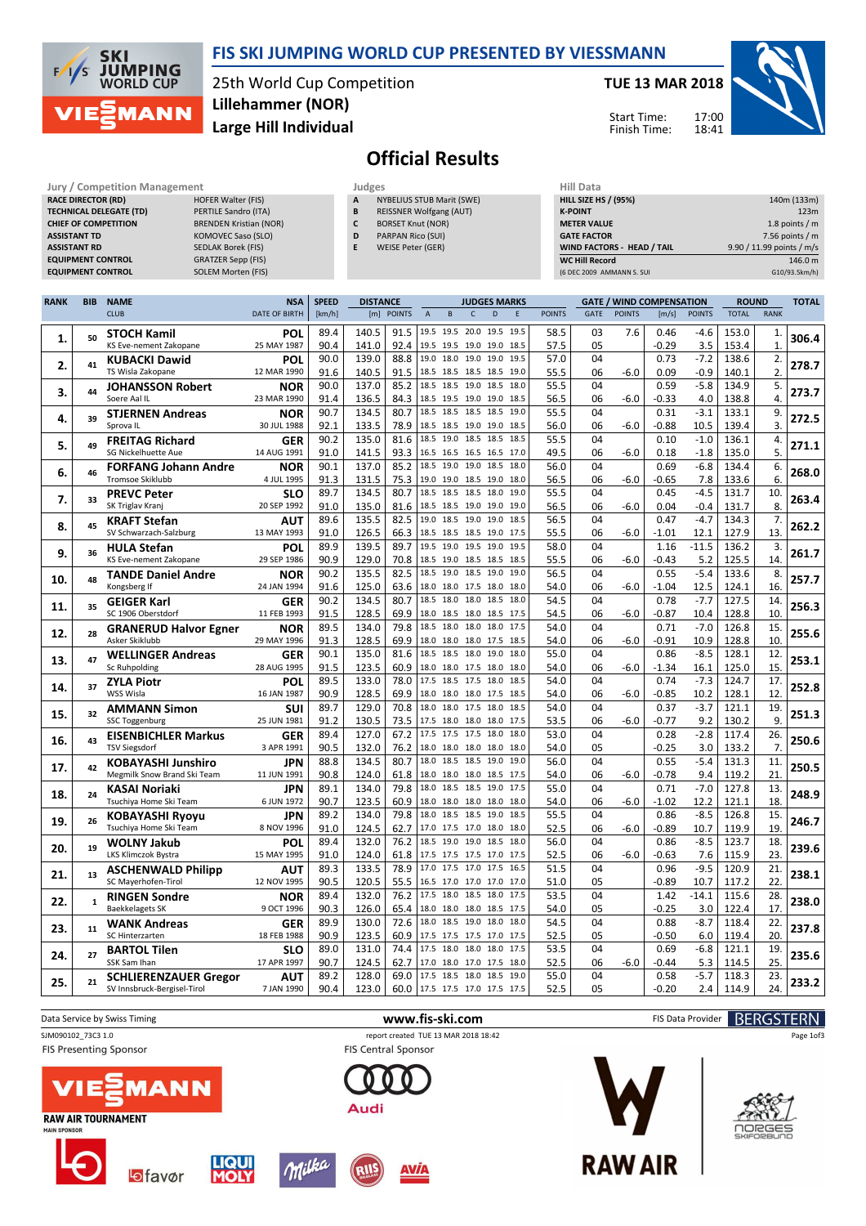



25th World Cup Competition Large Hill Individual Lillehammer (NOR)

#### TUE 13 MAR 2018





# Official Results

| Jury / Competition Management  |                               | Judges | <b>Hill Data</b>               |                    |
|--------------------------------|-------------------------------|--------|--------------------------------|--------------------|
| <b>RACE DIRECTOR (RD)</b>      | <b>HOFER Walter (FIS)</b>     | A      | NYBELIUS STUB Marit (SWE)      | <b>HILL SIZE H</b> |
| <b>TECHNICAL DELEGATE (TD)</b> | PERTILE Sandro (ITA)          | B      | <b>REISSNER Wolfgang (AUT)</b> | <b>K-POINT</b>     |
| <b>CHIEF OF COMPETITION</b>    | <b>BRENDEN Kristian (NOR)</b> | c      | <b>BORSET Knut (NOR)</b>       | <b>METER VAI</b>   |
| <b>ASSISTANT TD</b>            | KOMOVEC Saso (SLO)            | D      | <b>PARPAN Rico (SUI)</b>       | <b>GATE FACT</b>   |
| <b>ASSISTANT RD</b>            | <b>SEDLAK Borek (FIS)</b>     | Е      | WEISE Peter (GER)              | <b>WIND FACT</b>   |
| <b>EQUIPMENT CONTROL</b>       | <b>GRATZER Sepp (FIS)</b>     |        |                                | <b>WC Hill Red</b> |
| <b>EQUIPMENT CONTROL</b>       | <b>SOLEM Morten (FIS)</b>     |        |                                | (6 DEC 2009        |

- **YBELIUS STUB Marit (SWE) EISSNER Wolfgang (AUT)**
- ORSET Knut (NOR)
- ARPAN Rico (SUI)
	- VEISE Peter (GER)

| niil Data                   |                           |
|-----------------------------|---------------------------|
| <b>HILL SIZE HS / (95%)</b> | 140m (133m)               |
| <b>K-POINT</b>              | 123m                      |
| <b>METER VALUE</b>          | 1.8 points $/m$           |
| <b>GATE FACTOR</b>          | 7.56 points $/m$          |
| WIND FACTORS - HEAD / TAIL  | 9.90 / 11.99 points / m/s |
| <b>WC Hill Record</b>       | 146.0 m                   |
| (6 DEC 2009 AMMANN S. SUI   | G10/93.5km/h)             |

| <b>RANK</b> | <b>BIB</b>   | <b>NAME</b>                                      | <b>NSA</b>                | <b>SPEED</b> | <b>DISTANCE</b>      |                                                 | <b>JUDGES MARKS</b> |      |               | <b>GATE / WIND COMPENSATION</b> |               |         |               | <b>ROUND</b> |              | <b>TOTAL</b> |
|-------------|--------------|--------------------------------------------------|---------------------------|--------------|----------------------|-------------------------------------------------|---------------------|------|---------------|---------------------------------|---------------|---------|---------------|--------------|--------------|--------------|
|             |              | <b>CLUB</b>                                      | <b>DATE OF BIRTH</b>      | [km/h]       | [m]<br><b>POINTS</b> | $\overline{A}$<br>B                             | D<br>$\mathsf{C}$   | E    | <b>POINTS</b> | <b>GATE</b>                     | <b>POINTS</b> | [m/s]   | <b>POINTS</b> | <b>TOTAL</b> | <b>RANK</b>  |              |
|             |              | <b>STOCH Kamil</b>                               | POL                       | 89.4         | 140.5<br>91.5        | 19.5 19.5 20.0 19.5 19.5                        |                     |      | 58.5          | 03                              | 7.6           | 0.46    | $-4.6$        | 153.0        | 1.           |              |
| 1.          | 50           | KS Eve-nement Zakopane                           | 25 MAY 1987               | 90.4         | 141.0<br>92.4        | 19.5 19.5 19.0 19.0 18.5                        |                     |      | 57.5          | 05                              |               | $-0.29$ | 3.5           | 153.4        | $\mathbf{1}$ | 306.4        |
|             |              |                                                  |                           | 90.0         | 139.0<br>88.8        | 19.0<br>18.0                                    | 19.0 19.0           | 19.5 | 57.0          | 04                              |               | 0.73    | $-7.2$        | 138.6        | 2.           |              |
| 2.          | 41           | <b>KUBACKI Dawid</b><br>TS Wisla Zakopane        | POL                       |              | 140.5                |                                                 |                     |      |               |                                 |               |         |               |              | 2.           | 278.7        |
|             |              |                                                  | 12 MAR 1990               | 91.6         | 91.5                 | 18.5 18.5 18.5 18.5<br>18.5 18.5 19.0 18.5 18.0 |                     | 19.0 | 55.5          | 06                              | $-6.0$        | 0.09    | $-0.9$        | 140.1        |              |              |
| 3.          | 44           | <b>JOHANSSON Robert</b>                          | <b>NOR</b>                | 90.0         | 137.0<br>85.2        |                                                 |                     |      | 55.5          | 04                              |               | 0.59    | $-5.8$        | 134.9        | 5.           | 273.7        |
|             |              | Soere Aal IL                                     | 23 MAR 1990               | 91.4         | 136.5<br>84.3        | 18.5 19.5 19.0 19.0                             |                     | 18.5 | 56.5          | 06                              | $-6.0$        | $-0.33$ | 4.0           | 138.8        | 4.           |              |
| 4.          | 39           | <b>STJERNEN Andreas</b>                          | <b>NOR</b>                | 90.7         | 134.5<br>80.7        | 18.5 18.5 18.5 18.5                             |                     | 19.0 | 55.5          | 04                              |               | 0.31    | $-3.1$        | 133.1        | 9.           | 272.5        |
|             |              | Sprova IL                                        | 30 JUL 1988               | 92.1         | 133.5<br>78.9        | 18.5 18.5 19.0 19.0                             |                     | 18.5 | 56.0          | 06                              | $-6.0$        | $-0.88$ | 10.5          | 139.4        | 3.           |              |
| 5.          | 49           | <b>FREITAG Richard</b>                           | <b>GER</b>                | 90.2         | 135.0<br>81.6        | 18.5<br>19.0                                    | 18.5 18.5           | 18.5 | 55.5          | 04                              |               | 0.10    | $-1.0$        | 136.1        | 4.           | 271.1        |
|             |              | <b>SG Nickelhuette Aue</b>                       | 14 AUG 1991               | 91.0         | 141.5<br>93.3        | 16.5 16.5 16.5 16.5 17.0                        |                     |      | 49.5          | 06                              | $-6.0$        | 0.18    | $-1.8$        | 135.0        | 5.           |              |
| 6.          | 46           | <b>FORFANG Johann Andre</b>                      | <b>NOR</b>                | 90.1         | 137.0<br>85.2        | 18.5 19.0 19.0 18.5 18.0                        |                     |      | 56.0          | 04                              |               | 0.69    | $-6.8$        | 134.4        | 6.           | 268.0        |
|             |              | <b>Tromsoe Skiklubb</b>                          | 4 JUL 1995                | 91.3         | 75.3<br>131.5        | 19.0 19.0 18.5 19.0 18.0                        |                     |      | 56.5          | 06                              | $-6.0$        | $-0.65$ | 7.8           | 133.6        | 6.           |              |
|             | 33           | <b>PREVC Peter</b>                               | SLO                       | 89.7         | 134.5<br>80.7        | 18.5 18.5 18.5 18.0                             |                     | 19.0 | 55.5          | 04                              |               | 0.45    | $-4.5$        | 131.7        | 10.          | 263.4        |
| 7.          |              | SK Triglav Kranj                                 | 20 SEP 1992               | 91.0         | 135.0<br>81.6        | 18.5 18.5 19.0 19.0 19.0                        |                     |      | 56.5          | 06                              | $-6.0$        | 0.04    | $-0.4$        | 131.7        | 8.           |              |
|             |              | <b>KRAFT Stefan</b>                              | AUT                       | 89.6         | 135.5<br>82.5        | 19.0                                            | 18.5 19.0 19.0      | 18.5 | 56.5          | 04                              |               | 0.47    | $-4.7$        | 134.3        | 7.           |              |
| 8.          | 45           | SV Schwarzach-Salzburg                           | 13 MAY 1993               | 91.0         | 126.5<br>66.3        | 18.5 18.5 18.5 19.0                             |                     | 17.5 | 55.5          | 06                              | -6.0          | -1.01   | 12.1          | 127.9        | 13.          | 262.2        |
|             |              | <b>HULA Stefan</b>                               | POL                       | 89.9         | 139.5<br>89.7        | 19.5 19.0 19.5 19.0                             |                     | 19.5 | 58.0          | 04                              |               | 1.16    | $-11.5$       | 136.2        | 3.           |              |
| 9.          | 36           | KS Eve-nement Zakopane                           | 29 SEP 1986               | 90.9         | 129.0<br>70.8        | 18.5                                            | 19.0 18.5 18.5      | 18.5 | 55.5          | 06                              | $-6.0$        | $-0.43$ | 5.2           | 125.5        | 14.          | 261.7        |
|             |              | <b>TANDE Daniel Andre</b>                        | <b>NOR</b>                | 90.2         | 135.5<br>82.5        | 18.5<br>19.0                                    | 18.5 19.0           | 19.0 | 56.5          | 04                              |               | 0.55    | $-5.4$        | 133.6        | 8.           |              |
| 10.         | 48           | Kongsberg If                                     | 24 JAN 1994               | 91.6         | 125.0<br>63.6        | 18.0 18.0 17.5 18.0                             |                     | 18.0 | 54.0          | 06                              | $-6.0$        | $-1.04$ | 12.5          | 124.1        | 16.          | 257.7        |
|             |              |                                                  |                           | 90.2         | 134.5<br>80.7        | 18.5<br>18.0                                    | 18.0 18.5           | 18.0 | 54.5          | 04                              |               | 0.78    | $-7.7$        | 127.5        | 14.          |              |
| 11.         | 35           | <b>GEIGER Karl</b><br>SC 1906 Oberstdorf         | <b>GER</b><br>11 FEB 1993 | 91.5         | 128.5<br>69.9        | 18.0                                            |                     |      | 54.5          | 06                              | -6.0          | $-0.87$ | 10.4          | 128.8        | 10.          | 256.3        |
|             |              |                                                  |                           |              | 79.8                 | 18.5 18.0 18.0 18.0 17.5                        | 18.5 18.0 18.5 17.5 |      |               | 04                              |               |         |               |              |              |              |
| 12.         | 28           | <b>GRANERUD Halvor Egner</b>                     | <b>NOR</b>                | 89.5         | 134.0                |                                                 |                     |      | 54.0          |                                 |               | 0.71    | $-7.0$        | 126.8        | 15.          | 255.6        |
|             |              | Asker Skiklubb                                   | 29 MAY 1996               | 91.3         | 128.5<br>69.9        | 18.0 18.0 18.0 17.5 18.5                        |                     |      | 54.0          | 06                              | $-6.0$        | $-0.91$ | 10.9          | 128.8        | 10           |              |
| 13.         | 47           | <b>WELLINGER Andreas</b>                         | <b>GER</b>                | 90.1         | 135.0<br>81.6        | 18.5                                            | 18.5 18.0 19.0      | 18.0 | 55.0          | 04                              |               | 0.86    | $-8.5$        | 128.1        | 12.          | 253.1        |
|             |              | Sc Ruhpolding                                    | 28 AUG 1995               | 91.5         | 123.5<br>60.9        | 18.0 18.0 17.5 18.0 18.0                        |                     |      | 54.0          | 06                              | $-6.0$        | $-1.34$ | 16.1          | 125.0        | 15.          |              |
| 14.         | 37           | <b>ZYLA Piotr</b>                                | POL                       | 89.5         | 133.0<br>78.0        | 17.5                                            | 18.5 17.5 18.0      | 18.5 | 54.0          | 04                              |               | 0.74    | $-7.3$        | 124.7        | 17.          | 252.8        |
|             |              | WSS Wisla                                        | 16 JAN 1987               | 90.9         | 128.5<br>69.9        | 18.0 18.0 18.0 17.5 18.5                        |                     |      | 54.0          | 06                              | -6.0          | $-0.85$ | 10.2          | 128.1        | 12.          |              |
| 15.         | 32           | <b>AMMANN Simon</b>                              | <b>SUI</b>                | 89.7         | 129.0<br>70.8        | 18.0 18.0 17.5 18.0 18.5                        |                     |      | 54.0          | 04                              |               | 0.37    | $-3.7$        | 121.1        | 19.          | 251.3        |
|             |              | <b>SSC Toggenburg</b>                            | 25 JUN 1981               | 91.2         | 130.5<br>73.5        | 17.5 18.0 18.0 18.0                             |                     | 17.5 | 53.5          | 06                              | $-6.0$        | $-0.77$ | 9.2           | 130.2        | 9.           |              |
| 16.         | 43           | <b>EISENBICHLER Markus</b>                       | <b>GER</b>                | 89.4         | 127.0<br>67.2        | 17.5                                            | 17.5 17.5 18.0      | 18.0 | 53.0          | 04                              |               | 0.28    | $-2.8$        | 117.4        | 26.          | 250.6        |
|             |              | <b>TSV Siegsdorf</b>                             | 3 APR 1991                | 90.5         | 132.0<br>76.2        | 18.0 18.0 18.0 18.0                             |                     | 18.0 | 54.0          | 05                              |               | $-0.25$ | 3.0           | 133.2        | 7.           |              |
|             | 42           | <b>KOBAYASHI Junshiro</b>                        | <b>JPN</b>                | 88.8         | 134.5<br>80.7        | 18.0<br>18.5                                    | 18.5 19.0           | 19.0 | 56.0          | 04                              |               | 0.55    | $-5.4$        | 131.3        | 11.          |              |
| 17.         |              | Megmilk Snow Brand Ski Team                      | 11 JUN 1991               | 90.8         | 124.0<br>61.8        | 18.0 18.0 18.0 18.5 17.5                        |                     |      | 54.0          | 06                              | $-6.0$        | $-0.78$ | 9.4           | 119.2        | 21           | 250.5        |
|             |              | KASAI Noriaki                                    | JPN                       | 89.1         | 134.0<br>79.8        | 18.0                                            | 18.5 18.5 19.0      | 17.5 | 55.0          | 04                              |               | 0.71    | $-7.0$        | 127.8        | 13.          |              |
| 18.         | 24           | Tsuchiya Home Ski Team                           | 6 JUN 1972                | 90.7         | 123.5<br>60.9        | 18.0 18.0 18.0 18.0 18.0                        |                     |      | 54.0          | 06                              | $-6.0$        | $-1.02$ | 12.2          | 121.1        | 18.          | 248.9        |
|             |              | <b>KOBAYASHI Ryoyu</b>                           | <b>JPN</b>                | 89.2         | 134.0<br>79.8        | 18.0 18.5 18.5 19.0                             |                     | 18.5 | 55.5          | 04                              |               | 0.86    | $-8.5$        | 126.8        | 15.          |              |
| 19.         | 26           | Tsuchiya Home Ski Team                           | 8 NOV 1996                | 91.0         | 124.5<br>62.7        | 17.0 17.5 17.0 18.0 18.0                        |                     |      | 52.5          | 06                              | $-6.0$        | $-0.89$ | 10.7          | 119.9        | 19.          | 246.7        |
|             |              | <b>WOLNY Jakub</b>                               | POL                       | 89.4         | 132.0<br>76.2        | 18.5                                            | 19.0 19.0 18.5      | 18.0 | 56.0          | 04                              |               | 0.86    | $-8.5$        | 123.7        | 18.          |              |
| 20.         | 19           | LKS Klimczok Bystra                              | 15 MAY 1995               | 91.0         | 61.8<br>124.0        | 17.5 17.5 17.5 17.0 17.5                        |                     |      | 52.5          | 06                              | $-6.0$        | $-0.63$ | 7.6           | 115.9        | 23.          | 239.6        |
|             |              |                                                  | AUT                       | 89.3         | 133.5<br>78.9        | 17.0                                            | 17.5 17.0 17.5 16.5 |      | 51.5          | 04                              |               | 0.96    | $-9.5$        | 120.9        | 21.          |              |
| 21.         | 13           | <b>ASCHENWALD Philipp</b><br>SC Mayerhofen-Tirol | 12 NOV 1995               | 90.5         | 120.5<br>55.5        | 16.5 17.0 17.0 17.0                             |                     | 17.0 | 51.0          | 05                              |               | $-0.89$ | 10.7          | 117.2        | 22.          | 238.1        |
|             |              |                                                  |                           | 89.4         | 132.0<br>76.2        | 17.5 18.0 18.5 18.0                             |                     | 17.5 | 53.5          | 04                              |               | 1.42    | $-14.1$       | 115.6        | 28.          |              |
| 22.         | $\mathbf{1}$ | <b>RINGEN Sondre</b>                             | <b>NOR</b><br>9 OCT 1996  |              |                      |                                                 |                     |      |               | 05                              |               |         |               |              | 17.          | 238.0        |
|             |              | <b>Baekkelagets SK</b>                           |                           | 90.3         | 126.0<br>65.4        | 18.0                                            | 18.0 18.0 18.5      | 17.5 | 54.0          |                                 |               | $-0.25$ | 3.0           | 122.4        |              |              |
| 23.         | 11           | <b>WANK Andreas</b>                              | <b>GER</b>                | 89.9         | 130.0<br>72.6        | 18.0<br>18.5                                    | 19.0 18.0           | 18.0 | 54.5          | 04                              |               | 0.88    | $-8.7$        | 118.4        | 22.          | 237.8        |
|             |              | SC Hinterzarten                                  | 18 FEB 1988               | 90.9         | 123.5<br>60.9        | 17.5 17.5 17.5 17.0 17.5                        |                     |      | 52.5          | 05                              |               | $-0.50$ | 6.0           | 119.4        | 20.          |              |
| 24.         | 27           | <b>BARTOL Tilen</b>                              | SLO                       | 89.0         | 131.0<br>74.4        | 17.5<br>18.0                                    | 18.0 18.0           | 17.5 | 53.5          | 04                              |               | 0.69    | $-6.8$        | 121.1        | 19.          | 235.6        |
|             |              | SSK Sam Ihan                                     | 17 APR 1997               | 90.7         | 62.7<br>124.5        | 17.0                                            | 18.0 17.0 17.5      | 18.0 | 52.5          | 06                              | $-6.0$        | $-0.44$ | 5.3           | 114.5        | 25.          |              |
| 25.         | 21           | <b>SCHLIERENZAUER Gregor</b>                     | <b>AUT</b>                | 89.2         | 128.0<br>69.0        | 17.5 18.5 18.0 18.5                             |                     | 19.0 | 55.0          | 04                              |               | 0.58    | $-5.7$        | 118.3        | 23.          | 233.2        |
|             |              | SV Innsbruck-Bergisel-Tirol                      | 7 JAN 1990                | 90.4         | 123.0                | 60.0 17.5 17.5 17.0 17.5 17.5                   |                     |      | 52.5          | 05                              |               | $-0.20$ | 2.4           | 114.9        | 24.          |              |
|             |              |                                                  |                           |              |                      |                                                 |                     |      |               |                                 |               |         |               |              |              |              |











Milka



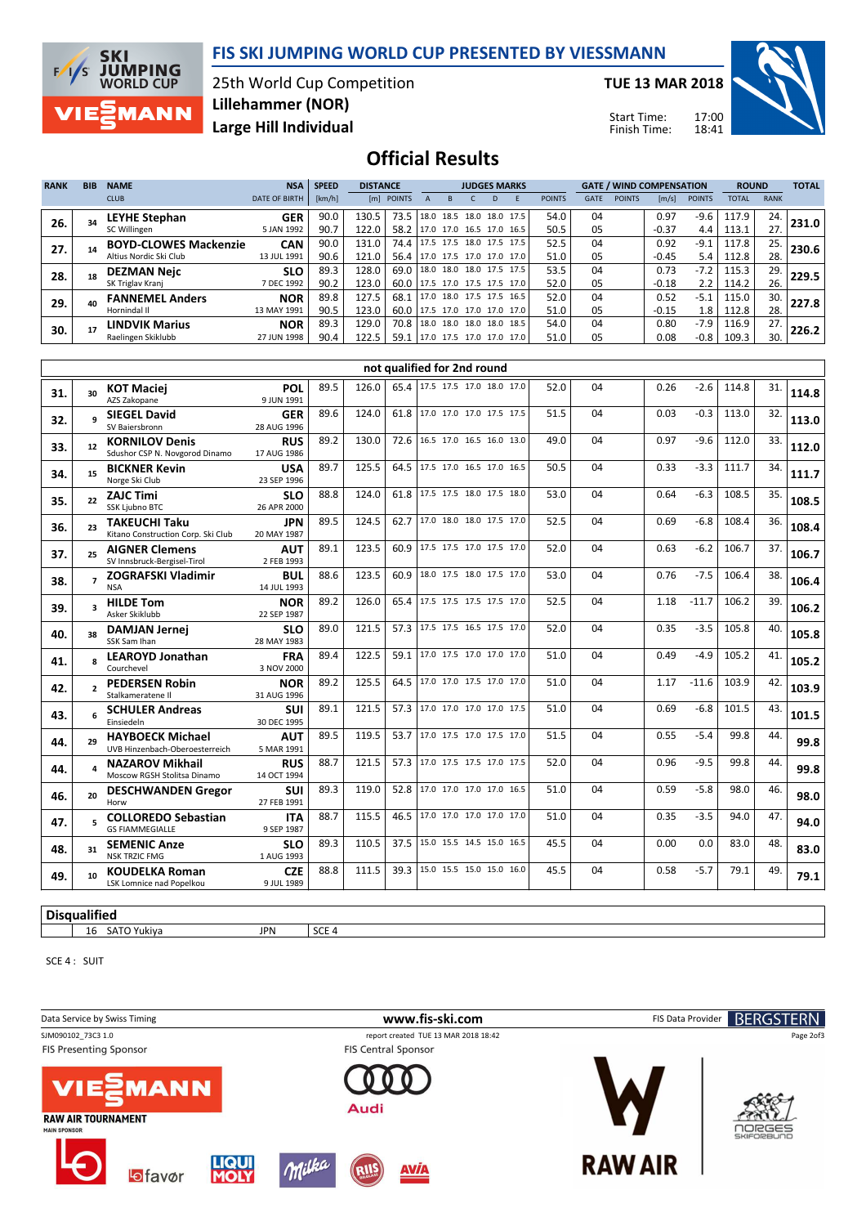



25th World Cup Competition Large Hill Individual Lillehammer (NOR)

TUE 13 MAR 2018

Start Time: Finish Time: 17:00 18:41



### Official Results

| <b>RANK</b> | <b>BIB</b> | <b>NAME</b>                                            | <b>NSA</b>                | <b>SPEED</b> | <b>DISTANCE</b> |              |                          |                     | <b>JUDGES MARKS</b>      |                             |               |             | <b>GATE / WIND COMPENSATION</b> |                 |                | <b>ROUND</b>   |             | <b>TOTAL</b> |
|-------------|------------|--------------------------------------------------------|---------------------------|--------------|-----------------|--------------|--------------------------|---------------------|--------------------------|-----------------------------|---------------|-------------|---------------------------------|-----------------|----------------|----------------|-------------|--------------|
|             |            | <b>CLUB</b>                                            | <b>DATE OF BIRTH</b>      | [km/h]       |                 | [m] POINTS   |                          |                     | D                        |                             | <b>POINTS</b> | <b>GATE</b> | <b>POINTS</b>                   | [m/s]           | <b>POINTS</b>  | <b>TOTAL</b>   | <b>RANK</b> |              |
| 26.         |            | <b>LEYHE Stephan</b><br>SC Willingen                   | <b>GER</b><br>5 JAN 1992  | 90.0<br>90.7 | 130.5<br>122.0  | 73.5<br>58.2 | 18.0                     |                     | 17.0 17.0 16.5 17.0      | 18.5 18.0 18.0 17.5<br>16.5 | 54.0<br>50.5  | 04<br>05    |                                 | 0.97<br>$-0.37$ | -9.6<br>4.4    | 117.9<br>113.1 | 24.<br>27.  | 231.0        |
| 27.         |            | <b>BOYD-CLOWES Mackenzie</b><br>Altius Nordic Ski Club | <b>CAN</b><br>13 JUL 1991 | 90.0<br>90.6 | 131.0<br>121.0  | 74.4<br>56.4 |                          | 17.0 17.5 17.0 17.0 | 17.5 17.5 18.0 17.5 17.5 | 17.0                        | 52.5<br>51.0  | 04<br>05    |                                 | 0.92<br>$-0.45$ | $-9.1$<br>5.4  | 117.8<br>112.8 | 25.<br>28.  | 230.6        |
| 28.         |            | <b>DEZMAN Nejc</b><br>SK Triglav Krani                 | <b>SLO</b><br>7 DEC 1992  | 89.3<br>90.2 | 128.0<br>123.0  | 69.0<br>60.0 |                          | 17.5 17.0 17.5 17.5 | 18.0 18.0 18.0 17.5 17.5 | 17.0                        | 53.5<br>52.0  | 04<br>05    |                                 | 0.73<br>$-0.18$ | $-7.2$<br>2.2  | 115.3<br>114.2 | 29.<br>26.  | 229.5        |
| 29.         |            | <b>FANNEMEL Anders</b><br>Hornindal II                 | <b>NOR</b><br>13 MAY 1991 | 89.8<br>90.5 | 127.5<br>123.0  | 68.3<br>60.0 | 17.0                     | 18.0 17.5 17.5      | 17.5 17.0 17.0 17.0      | 16.5<br>17.0                | 52.0<br>51.0  | 04<br>05    |                                 | 0.52<br>$-0.15$ | $-5.1$<br>1.8  | 115.0<br>112.8 | 30.<br>28.  | 227.8        |
| 30.         |            | <b>LINDVIK Marius</b><br>Raelingen Skiklubb            | <b>NOR</b><br>27 JUN 1998 | 89.3<br>90.4 | 129.0<br>122.5  | 70.8<br>59.3 | 17.0 17.5 17.0 17.0 17.0 |                     | 18.0 18.0 18.0 18.0 18.5 |                             | 54.0<br>51.0  | 04<br>05    |                                 | 0.80<br>0.08    | $-7.9$<br>-0.8 | 116.9<br>109.3 | 27.<br>30.  | 226.2        |

|     | not qualified for 2nd round |                                                            |                           |      |       |      |                          |  |  |      |    |      |         |       |     |       |
|-----|-----------------------------|------------------------------------------------------------|---------------------------|------|-------|------|--------------------------|--|--|------|----|------|---------|-------|-----|-------|
| 31. | 30                          | <b>KOT Maciei</b><br>AZS Zakopane                          | POL<br>9 JUN 1991         | 89.5 | 126.0 | 65.4 | 17.5 17.5 17.0 18.0 17.0 |  |  | 52.0 | 04 | 0.26 | $-2.6$  | 114.8 | 31. | 114.8 |
| 32. | q                           | <b>SIEGEL David</b><br>SV Baiersbronn                      | <b>GER</b><br>28 AUG 1996 | 89.6 | 124.0 | 61.8 | 17.0 17.0 17.0 17.5 17.5 |  |  | 51.5 | 04 | 0.03 | $-0.3$  | 113.0 | 32. | 113.0 |
| 33. | 12                          | <b>KORNILOV Denis</b><br>Sdushor CSP N. Novgorod Dinamo    | <b>RUS</b><br>17 AUG 1986 | 89.2 | 130.0 | 72.6 | 16.5 17.0 16.5 16.0 13.0 |  |  | 49.0 | 04 | 0.97 | $-9.6$  | 112.0 | 33. | 112.0 |
| 34. | 15                          | <b>BICKNER Kevin</b><br>Norge Ski Club                     | USA<br>23 SEP 1996        | 89.7 | 125.5 | 64.5 | 17.5 17.0 16.5 17.0 16.5 |  |  | 50.5 | 04 | 0.33 | $-3.3$  | 111.7 | 34. | 111.7 |
| 35. | 22                          | <b>ZAJC Timi</b><br>SSK Ljubno BTC                         | <b>SLO</b><br>26 APR 2000 | 88.8 | 124.0 | 61.8 | 17.5 17.5 18.0 17.5 18.0 |  |  | 53.0 | 04 | 0.64 | $-6.3$  | 108.5 | 35. | 108.5 |
| 36. | 23                          | <b>TAKEUCHI Taku</b><br>Kitano Construction Corp. Ski Club | <b>JPN</b><br>20 MAY 1987 | 89.5 | 124.5 | 62.7 | 17.0 18.0 18.0 17.5 17.0 |  |  | 52.5 | 04 | 0.69 | $-6.8$  | 108.4 | 36. | 108.4 |
| 37. | 25                          | <b>AIGNER Clemens</b><br>SV Innsbruck-Bergisel-Tirol       | <b>AUT</b><br>2 FEB 1993  | 89.1 | 123.5 | 60.9 | 17.5 17.5 17.0 17.5 17.0 |  |  | 52.0 | 04 | 0.63 | $-6.2$  | 106.7 | 37. | 106.7 |
| 38. | $\overline{7}$              | <b>ZOGRAFSKI Vladimir</b><br><b>NSA</b>                    | BUL<br>14 JUL 1993        | 88.6 | 123.5 | 60.9 | 18.0 17.5 18.0 17.5 17.0 |  |  | 53.0 | 04 | 0.76 | $-7.5$  | 106.4 | 38. | 106.4 |
| 39. | $\overline{\mathbf{a}}$     | <b>HILDE Tom</b><br>Asker Skiklubb                         | <b>NOR</b><br>22 SEP 1987 | 89.2 | 126.0 | 65.4 | 17.5 17.5 17.5 17.5 17.0 |  |  | 52.5 | 04 | 1.18 | $-11.7$ | 106.2 | 39. | 106.2 |
| 40. | 38                          | <b>DAMJAN Jernei</b><br>SSK Sam Ihan                       | SLO<br>28 MAY 1983        | 89.0 | 121.5 | 57.3 | 17.5 17.5 16.5 17.5 17.0 |  |  | 52.0 | 04 | 0.35 | $-3.5$  | 105.8 | 40. | 105.8 |
| 41. |                             | <b>LEAROYD Jonathan</b><br>Courchevel                      | <b>FRA</b><br>3 NOV 2000  | 89.4 | 122.5 | 59.1 | 17.0 17.5 17.0 17.0 17.0 |  |  | 51.0 | 04 | 0.49 | $-4.9$  | 105.2 | 41. | 105.2 |
| 42. |                             | <b>PEDERSEN Robin</b><br>Stalkameratene II                 | <b>NOR</b><br>31 AUG 1996 | 89.2 | 125.5 | 64.5 | 17.0 17.0 17.5 17.0 17.0 |  |  | 51.0 | 04 | 1.17 | $-11.6$ | 103.9 | 42. | 103.9 |
| 43. | 6                           | <b>SCHULER Andreas</b><br>Einsiedeln                       | SUI<br>30 DEC 1995        | 89.1 | 121.5 | 57.3 | 17.0 17.0 17.0 17.0 17.5 |  |  | 51.0 | 04 | 0.69 | $-6.8$  | 101.5 | 43. | 101.5 |
| 44. | 29                          | <b>HAYBOECK Michael</b><br>UVB Hinzenbach-Oberoesterreich  | <b>AUT</b><br>5 MAR 1991  | 89.5 | 119.5 | 53.7 | 17.0 17.5 17.0 17.5 17.0 |  |  | 51.5 | 04 | 0.55 | $-5.4$  | 99.8  | 44. | 99.8  |
| 44. |                             | <b>NAZAROV Mikhail</b><br>Moscow RGSH Stolitsa Dinamo      | <b>RUS</b><br>14 OCT 1994 | 88.7 | 121.5 | 57.3 | 17.0 17.5 17.5 17.0 17.5 |  |  | 52.0 | 04 | 0.96 | $-9.5$  | 99.8  | 44. | 99.8  |
| 46. | 20                          | <b>DESCHWANDEN Gregor</b><br>Horw                          | <b>SUI</b><br>27 FEB 1991 | 89.3 | 119.0 | 52.8 | 17.0 17.0 17.0 17.0 16.5 |  |  | 51.0 | 04 | 0.59 | $-5.8$  | 98.0  | 46. | 98.0  |
| 47. |                             | <b>COLLOREDO Sebastian</b><br><b>GS FIAMMEGIALLE</b>       | <b>ITA</b><br>9 SEP 1987  | 88.7 | 115.5 | 46.5 | 17.0 17.0 17.0 17.0 17.0 |  |  | 51.0 | 04 | 0.35 | $-3.5$  | 94.0  | 47. | 94.0  |
| 48. | 31                          | <b>SEMENIC Anze</b><br><b>NSK TRZIC FMG</b>                | <b>SLO</b><br>1 AUG 1993  | 89.3 | 110.5 | 37.5 | 15.0 15.5 14.5 15.0 16.5 |  |  | 45.5 | 04 | 0.00 | 0.0     | 83.0  | 48. | 83.0  |
| 49. | 10                          | <b>KOUDELKA Roman</b><br><b>LSK Lomnice nad Popelkou</b>   | <b>CZE</b><br>9 JUL 1989  | 88.8 | 111.5 | 39.3 | 15.0 15.5 15.0 15.0 16.0 |  |  | 45.5 | 04 | 0.58 | $-5.7$  | 79.1  | 49. | 79.1  |
|     |                             |                                                            |                           |      |       |      |                          |  |  |      |    |      |         |       |     |       |

#### **Disqualified**

16 SATO Yukiya JPN SCE 4

SCE 4 : SUIT